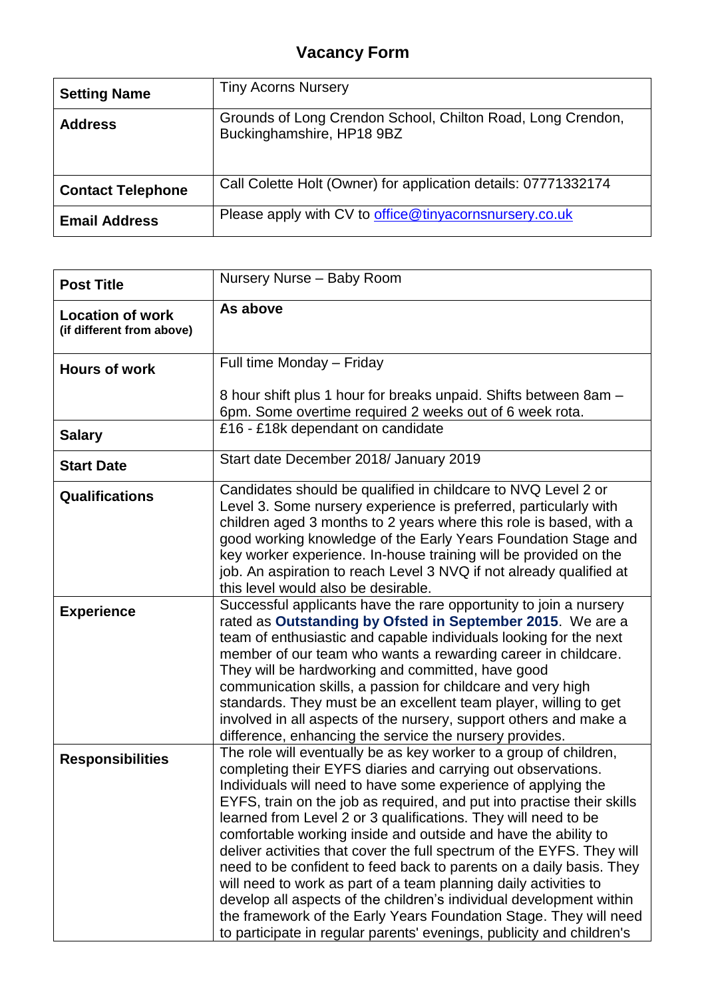| <b>Setting Name</b>      | <b>Tiny Acorns Nursery</b>                                                               |
|--------------------------|------------------------------------------------------------------------------------------|
| <b>Address</b>           | Grounds of Long Crendon School, Chilton Road, Long Crendon,<br>Buckinghamshire, HP18 9BZ |
| <b>Contact Telephone</b> | Call Colette Holt (Owner) for application details: 07771332174                           |
| <b>Email Address</b>     | Please apply with CV to office@tinyacornsnursery.co.uk                                   |

| <b>Post Title</b>                                    | Nursery Nurse - Baby Room                                                                                                                                                                                                                                                                                                                                                                                                                                                                                                                                                                                                                                                                                                                                                                                                                                  |
|------------------------------------------------------|------------------------------------------------------------------------------------------------------------------------------------------------------------------------------------------------------------------------------------------------------------------------------------------------------------------------------------------------------------------------------------------------------------------------------------------------------------------------------------------------------------------------------------------------------------------------------------------------------------------------------------------------------------------------------------------------------------------------------------------------------------------------------------------------------------------------------------------------------------|
| <b>Location of work</b><br>(if different from above) | As above                                                                                                                                                                                                                                                                                                                                                                                                                                                                                                                                                                                                                                                                                                                                                                                                                                                   |
| <b>Hours of work</b>                                 | Full time Monday - Friday                                                                                                                                                                                                                                                                                                                                                                                                                                                                                                                                                                                                                                                                                                                                                                                                                                  |
|                                                      | 8 hour shift plus 1 hour for breaks unpaid. Shifts between 8am -<br>6pm. Some overtime required 2 weeks out of 6 week rota.                                                                                                                                                                                                                                                                                                                                                                                                                                                                                                                                                                                                                                                                                                                                |
| <b>Salary</b>                                        | £16 - £18k dependant on candidate                                                                                                                                                                                                                                                                                                                                                                                                                                                                                                                                                                                                                                                                                                                                                                                                                          |
| <b>Start Date</b>                                    | Start date December 2018/ January 2019                                                                                                                                                                                                                                                                                                                                                                                                                                                                                                                                                                                                                                                                                                                                                                                                                     |
| <b>Qualifications</b>                                | Candidates should be qualified in childcare to NVQ Level 2 or<br>Level 3. Some nursery experience is preferred, particularly with<br>children aged 3 months to 2 years where this role is based, with a<br>good working knowledge of the Early Years Foundation Stage and<br>key worker experience. In-house training will be provided on the<br>job. An aspiration to reach Level 3 NVQ if not already qualified at<br>this level would also be desirable.                                                                                                                                                                                                                                                                                                                                                                                                |
| <b>Experience</b>                                    | Successful applicants have the rare opportunity to join a nursery<br>rated as Outstanding by Ofsted in September 2015. We are a<br>team of enthusiastic and capable individuals looking for the next<br>member of our team who wants a rewarding career in childcare.<br>They will be hardworking and committed, have good<br>communication skills, a passion for childcare and very high<br>standards. They must be an excellent team player, willing to get<br>involved in all aspects of the nursery, support others and make a<br>difference, enhancing the service the nursery provides.                                                                                                                                                                                                                                                              |
| <b>Responsibilities</b>                              | The role will eventually be as key worker to a group of children,<br>completing their EYFS diaries and carrying out observations.<br>Individuals will need to have some experience of applying the<br>EYFS, train on the job as required, and put into practise their skills<br>learned from Level 2 or 3 qualifications. They will need to be<br>comfortable working inside and outside and have the ability to<br>deliver activities that cover the full spectrum of the EYFS. They will<br>need to be confident to feed back to parents on a daily basis. They<br>will need to work as part of a team planning daily activities to<br>develop all aspects of the children's individual development within<br>the framework of the Early Years Foundation Stage. They will need<br>to participate in regular parents' evenings, publicity and children's |